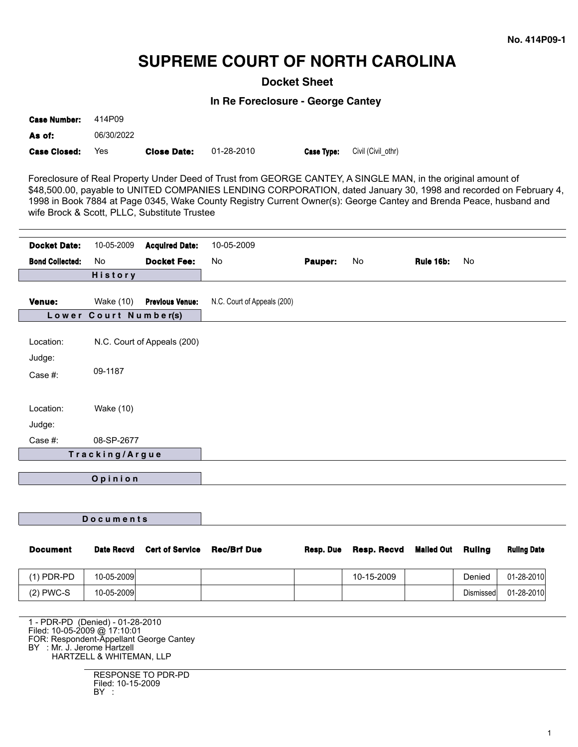# **SUPREME COURT OF NORTH CAROLINA**

**Docket Sheet**

**In Re Foreclosure - George Cantey**

| <b>Case Number:</b> | 414P09     |                    |            |                                      |
|---------------------|------------|--------------------|------------|--------------------------------------|
| As of:              | 06/30/2022 |                    |            |                                      |
| <b>Case Closed:</b> | Yes        | <b>Close Date:</b> | 01-28-2010 | <b>Case Type:</b> Civil (Civil othr) |

Foreclosure of Real Property Under Deed of Trust from GEORGE CANTEY, A SINGLE MAN, in the original amount of \$48,500.00, payable to UNITED COMPANIES LENDING CORPORATION, dated January 30, 1998 and recorded on February 4, 1998 in Book 7884 at Page 0345, Wake County Registry Current Owner(s): George Cantey and Brenda Peace, husband and wife Brock & Scott, PLLC, Substitute Trustee

| <b>Docket Date:</b>    | 10-05-2009            | <b>Acquired Date:</b>       | 10-05-2009                  |         |    |           |    |
|------------------------|-----------------------|-----------------------------|-----------------------------|---------|----|-----------|----|
| <b>Bond Collected:</b> | No                    | <b>Docket Fee:</b>          | No                          | Pauper: | No | Rule 16b: | No |
|                        | History               |                             |                             |         |    |           |    |
|                        |                       |                             |                             |         |    |           |    |
| <b>Venue:</b>          | Wake (10)             | <b>Previous Venue:</b>      | N.C. Court of Appeals (200) |         |    |           |    |
|                        | Lower Court Number(s) |                             |                             |         |    |           |    |
| Location:<br>Judge:    |                       | N.C. Court of Appeals (200) |                             |         |    |           |    |
| Case #:                | 09-1187               |                             |                             |         |    |           |    |
| Location:              | <b>Wake (10)</b>      |                             |                             |         |    |           |    |
| Judge:                 |                       |                             |                             |         |    |           |    |
| Case #:                | 08-SP-2677            |                             |                             |         |    |           |    |
|                        | Tracking/Argue        |                             |                             |         |    |           |    |
|                        | Opinion               |                             |                             |         |    |           |    |
|                        |                       |                             |                             |         |    |           |    |
|                        | Documents             |                             |                             |         |    |           |    |

| <b>Document</b>                                                                                        | <b>Date Recyd</b>                                          | <b>Cert of Service</b> | <b>Rec/Brf Due</b> | Resp. Due | Resp. Recvd | Mailed Out | Rulina    | <b>Ruling Date</b> |
|--------------------------------------------------------------------------------------------------------|------------------------------------------------------------|------------------------|--------------------|-----------|-------------|------------|-----------|--------------------|
| $(1)$ PDR-PD                                                                                           | 10-05-2009                                                 |                        |                    |           | 10-15-2009  |            | Denied    | 01-28-2010         |
| $(2)$ PWC-S                                                                                            | 10-05-2009                                                 |                        |                    |           |             |            | Dismissed | 01-28-2010         |
| Filed: 10-05-2009 @ 17:10:01<br>FOR: Respondent-Appellant George Cantey<br>BY : Mr. J. Jerome Hartzell | - PDR-PD (Denied) - 01-28-2010<br>HARTZELL & WHITEMAN, LLP |                        |                    |           |             |            |           |                    |

RESPONSE TO PDR-PD Filed: 10-15-2009 BY :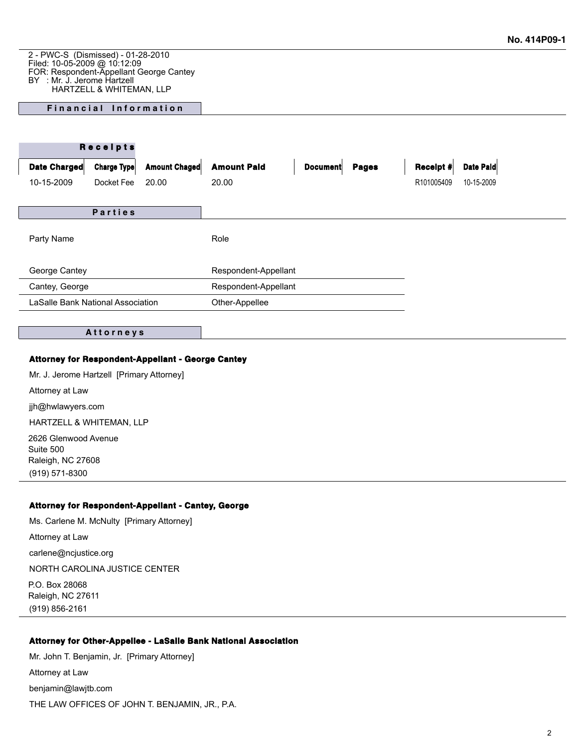2 - PWC-S (Dismissed) - 01-28-2010 Filed: 10-05-2009 @ 10:12:09 FOR: Respondent-Appellant George Cantey BY : Mr. J. Jerome Hartzell HARTZELL & WHITEMAN, LLP

## **Financial Information**

|                                   | Receipts           |                      |                      |                 |              |            |            |
|-----------------------------------|--------------------|----------------------|----------------------|-----------------|--------------|------------|------------|
| Date Charged                      | <b>Charge Type</b> | <b>Amount Chaged</b> | <b>Amount Paid</b>   | <b>Document</b> | <b>Pages</b> | Receipt #  | Date Paid  |
| 10-15-2009                        | Docket Fee         | 20.00                | 20.00                |                 |              | R101005409 | 10-15-2009 |
|                                   |                    |                      |                      |                 |              |            |            |
|                                   | Parties            |                      |                      |                 |              |            |            |
| Party Name                        |                    |                      | Role                 |                 |              |            |            |
| George Cantey                     |                    |                      | Respondent-Appellant |                 |              |            |            |
| Cantey, George                    |                    |                      | Respondent-Appellant |                 |              |            |            |
| LaSalle Bank National Association |                    |                      | Other-Appellee       |                 |              |            |            |
|                                   |                    |                      |                      |                 |              |            |            |

#### **A t t o r n e y s**

#### **Attorney for Respondent-Appellant - George Cantey**

Mr. J. Jerome Hartzell [Primary Attorney] Attorney at Law jjh@hwlawyers.com HARTZELL & WHITEMAN, LLP

2626 Glenwood Avenue Suite 500 Raleigh, NC 27608 (919) 571-8300

#### **Attorney for Respondent-Appellant - Cantey, George**

Ms. Carlene M. McNulty [Primary Attorney] Attorney at Law carlene@ncjustice.org NORTH CAROLINA JUSTICE CENTER P.O. Box 28068 Raleigh, NC 27611 (919) 856-2161

### **Attorney for Other-Appellee - LaSalle Bank National Association**

Mr. John T. Benjamin, Jr. [Primary Attorney] Attorney at Law benjamin@lawjtb.com THE LAW OFFICES OF JOHN T. BENJAMIN, JR., P.A.